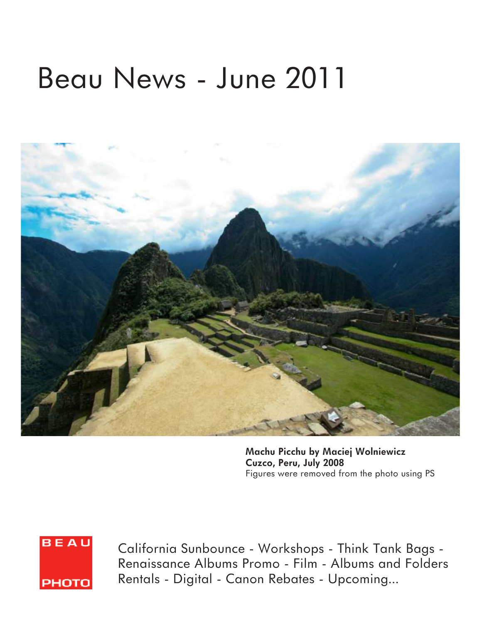# Beau News - June 2011



**Machu Picchu by Maciej Wolniewicz Cuzco, Peru, July 2008** Figures were removed from the photo using PS



California Sunbounce - Workshops - Think Tank Bags - Renaissance Albums Promo - Film - Albums and Folders Rentals - Digital - Canon Rebates - Upcoming...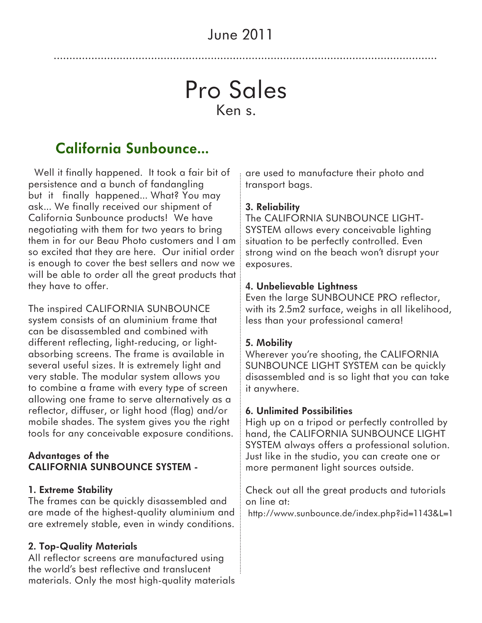# Pro Sales Ken s.

## **California Sunbounce...**

 Well it finally happened. It took a fair bit of persistence and a bunch of fandangling but it finally happened... What? You may ask... We finally received our shipment of California Sunbounce products! We have negotiating with them for two years to bring them in for our Beau Photo customers and I am so excited that they are here. Our initial order is enough to cover the best sellers and now we will be able to order all the great products that they have to offer.

The inspired CALIFORNIA SUNBOUNCE system consists of an aluminium frame that can be disassembled and combined with different reflecting, light-reducing, or lightabsorbing screens. The frame is available in several useful sizes. It is extremely light and very stable. The modular system allows you to combine a frame with every type of screen allowing one frame to serve alternatively as a reflector, diffuser, or light hood (flag) and/or mobile shades. The system gives you the right tools for any conceivable exposure conditions.

#### **Advantages of the CALIFORNIA SUNBOUNCE SYSTEM -**

#### **1. Extreme Stability**

The frames can be quickly disassembled and are made of the highest-quality aluminium and are extremely stable, even in windy conditions.

#### **2. Top-Quality Materials**

All reflector screens are manufactured using the world's best reflective and translucent materials. Only the most high-quality materials are used to manufacture their photo and transport bags.

#### **3. Reliability**

The CALIFORNIA SUNBOUNCE LIGHT-SYSTEM allows every conceivable lighting situation to be perfectly controlled. Even strong wind on the beach won't disrupt your exposures.

#### **4. Unbelievable Lightness**

Even the large SUNBOUNCE PRO reflector, with its 2.5m2 surface, weighs in all likelihood, less than your professional camera!

#### **5. Mobility**

Wherever you're shooting, the CALIFORNIA SUNBOUNCE LIGHT SYSTEM can be quickly disassembled and is so light that you can take it anywhere.

#### **6. Unlimited Possibilities**

High up on a tripod or perfectly controlled by hand, the CALIFORNIA SUNBOUNCE LIGHT SYSTEM always offers a professional solution. Just like in the studio, you can create one or more permanent light sources outside.

Check out all the great products and tutorials on line at:

http://www.sunbounce.de/index.php?id=1143&L=1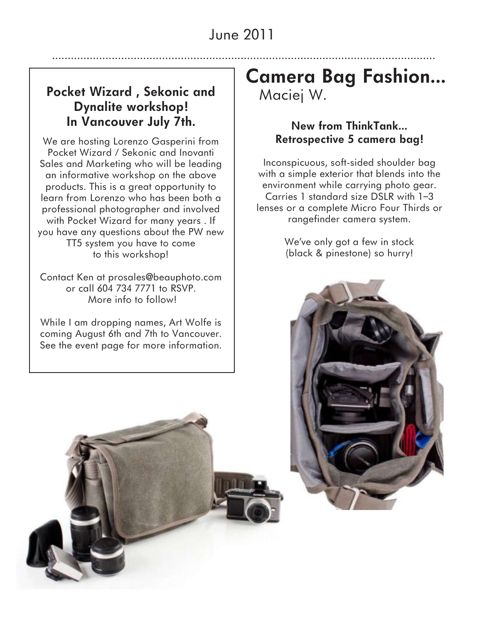#### **Pocket Wizard , Sekonic and Dynalite workshop! In Vancouver July 7th.**

We are hosting Lorenzo Gasperini from Pocket Wizard / Sekonic and Inovanti Sales and Marketing who will be leading an informative workshop on the above products. This is a great opportunity to learn from Lorenzo who has been both a professional photographer and involved with Pocket Wizard for many years . If you have any questions about the PW new TT5 system you have to come to this workshop!

Contact Ken at prosales@beauphoto.com or call 604 734 7771 to RSVP. More info to follow!

While I am dropping names, Art Wolfe is coming August 6th and 7th to Vancouver. See the event page for more information.

# **Camera Bag Fashion...**

Maciej W.

#### **New from ThinkTank... Retrospective 5 camera bag!**

Inconspicuous, soft-sided shoulder bag with a simple exterior that blends into the environment while carrying photo gear. Carries 1 standard size DSLR with 1–3 lenses or a complete Micro Four Thirds or rangefinder camera system.

> We've only got a few in stock (black & pinestone) so hurry!



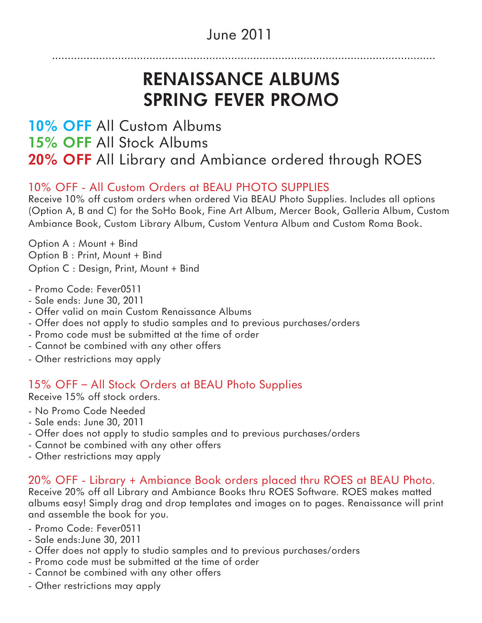# **RENAISSANCE ALBUMS SPRING FEVER PROMO**

## **10% OFF** All Custom Albums **15% OFF** All Stock Albums **20% OFF** All Library and Ambiance ordered through ROES

#### 10% OFF - All Custom Orders at BEAU PHOTO SUPPLIES

Receive 10% off custom orders when ordered Via BEAU Photo Supplies. Includes all options (Option A, B and C) for the SoHo Book, Fine Art Album, Mercer Book, Galleria Album, Custom Ambiance Book, Custom Library Album, Custom Ventura Album and Custom Roma Book.

Option A : Mount + Bind Option B : Print, Mount + Bind Option C : Design, Print, Mount + Bind

- Promo Code: Fever0511
- Sale ends: June 30, 2011
- Offer valid on main Custom Renaissance Albums
- Offer does not apply to studio samples and to previous purchases/orders
- Promo code must be submitted at the time of order
- Cannot be combined with any other offers
- Other restrictions may apply

#### 15% OFF – All Stock Orders at BEAU Photo Supplies

Receive 15% off stock orders.

- No Promo Code Needed
- Sale ends: June 30, 2011
- Offer does not apply to studio samples and to previous purchases/orders
- Cannot be combined with any other offers
- Other restrictions may apply

#### 20% OFF - Library + Ambiance Book orders placed thru ROES at BEAU Photo.

Receive 20% off all Library and Ambiance Books thru ROES Software. ROES makes matted albums easy! Simply drag and drop templates and images on to pages. Renaissance will print and assemble the book for you.

- Promo Code: Fever0511
- Sale ends:June 30, 2011
- Offer does not apply to studio samples and to previous purchases/orders
- Promo code must be submitted at the time of order
- Cannot be combined with any other offers
- Other restrictions may apply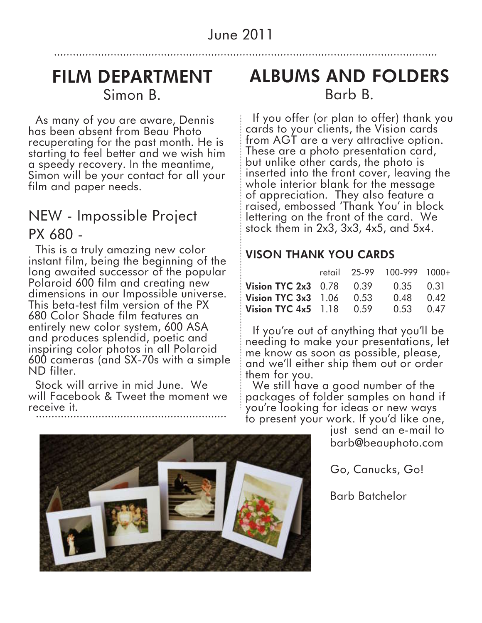# **FILM DEPARTMENT**

Simon B.

 As many of you are aware, Dennis has been absent from Beau Photo recuperating for the past month. He is starting to feel better and we wish him a speedy recovery. In the meantime, Simon will be your contact for all your film and paper needs.

## NEW - Impossible Project PX 680 -

 This is a truly amazing new color instant film, being the beginning of the long awaited successor of the popular Polaroid 600 film and creating new dimensions in our Impossible universe. This beta-test film version of the PX 680 Color Shade film features an entirely new color system, 600 ASA and produces splendid, poetic and inspiring color photos in all Polaroid 600 cameras (and SX-70s with a simple ND filter.

 Stock will arrive in mid June. We will Facebook & Tweet the moment we receive it.

**ALBUMS AND FOLDERS** Barb B.

 If you offer (or plan to offer) thank you cards to your clients, the Vision cards from AGT are a very attractive option. These are a photo presentation card, but unlike other cards, the photo is inserted into the front cover, leaving the whole interior blank for the message of appreciation. They also feature a raised, embossed 'Thank You' in block lettering on the front of the card. We stock them in 2x3, 3x3, 4x5, and 5x4.

#### **VISON THANK YOU CARDS**

|                                                |  | retail 25-99 100-999 1000+ |  |
|------------------------------------------------|--|----------------------------|--|
| <b>Vision TYC 2x3</b> $0.78$ $0.39$            |  | 0.35 0.31                  |  |
| <b>Vision TYC <math>3x3</math></b> $1.06$ 0.53 |  | $0.48$ 0.42                |  |
| <b>Vision TYC 4x5</b> $1.18$ 0.59              |  | $0.53$ 0.47                |  |

 If you're out of anything that you'll be needing to make your presentations, let me know as soon as possible, please, and we'll either ship them out or order them for you.

 We still have a good number of the packages of folder samples on hand if you're looking for ideas or new ways to present your work. If you'd like one,

just send an e-mail to barb@beauphoto.com

Go, Canucks, Go!

Barb Batchelor

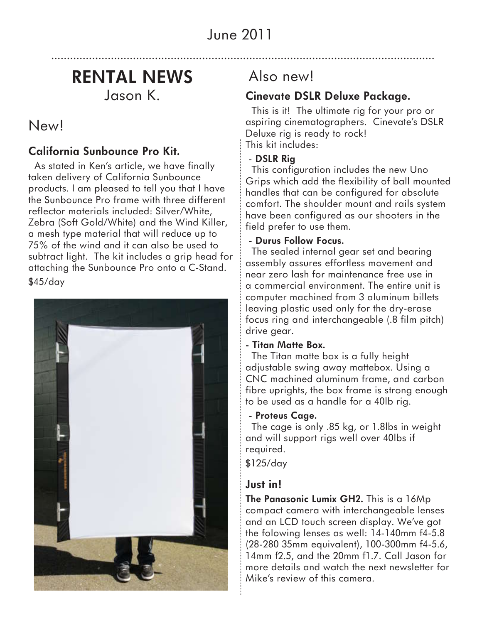# **RENTAL NEWS**

Jason K.

# New!

#### **California Sunbounce Pro Kit.**

 As stated in Ken's article, we have finally taken delivery of California Sunbounce products. I am pleased to tell you that I have the Sunbounce Pro frame with three different reflector materials included: Silver/White, Zebra (Soft Gold/White) and the Wind Killer, a mesh type material that will reduce up to 75% of the wind and it can also be used to subtract light. The kit includes a grip head for attaching the Sunbounce Pro onto a C-Stand. \$45/day



## Also new!

### **Cinevate DSLR Deluxe Package.**

 This is it! The ultimate rig for your pro or aspiring cinematographers. Cinevate's DSLR Deluxe rig is ready to rock! This kit includes:

#### - **DSLR Rig**

 This configuration includes the new Uno Grips which add the flexibility of ball mounted handles that can be configured for absolute comfort. The shoulder mount and rails system have been configured as our shooters in the field prefer to use them.

#### **- Durus Follow Focus.**

 The sealed internal gear set and bearing assembly assures effortless movement and near zero lash for maintenance free use in a commercial environment. The entire unit is computer machined from 3 aluminum billets leaving plastic used only for the dry-erase focus ring and interchangeable (.8 film pitch) drive gear.

#### **- Titan Matte Box.**

 The Titan matte box is a fully height adjustable swing away mattebox. Using a CNC machined aluminum frame, and carbon fibre uprights, the box frame is strong enough to be used as a handle for a 40lb rig.

#### **- Proteus Cage.**

 The cage is only .85 kg, or 1.8lbs in weight and will support rigs well over 40lbs if required.

\$125/day

#### **Just in!**

**The Panasonic Lumix GH2.** This is a 16Mp compact camera with interchangeable lenses and an LCD touch screen display. We've got the folowing lenses as well: 14-140mm f4-5.8 (28-280 35mm equivalent), 100-300mm f4-5.6, 14mm f2.5, and the 20mm f1.7. Call Jason for more details and watch the next newsletter for Mike's review of this camera.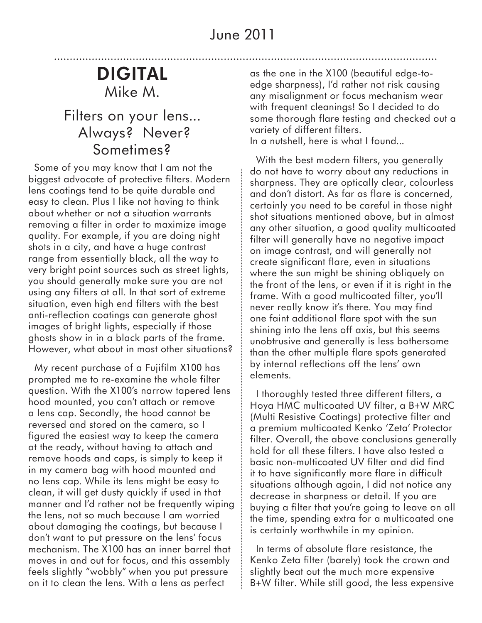# **DIGITAL** Mike M.

### Filters on your lens... Always? Never? Sometimes?

 Some of you may know that I am not the biggest advocate of protective filters. Modern lens coatings tend to be quite durable and easy to clean. Plus I like not having to think about whether or not a situation warrants removing a filter in order to maximize image quality. For example, if you are doing night shots in a city, and have a huge contrast range from essentially black, all the way to very bright point sources such as street lights, you should generally make sure you are not using any filters at all. In that sort of extreme situation, even high end filters with the best anti-reflection coatings can generate ghost images of bright lights, especially if those ghosts show in in a black parts of the frame. However, what about in most other situations?

 My recent purchase of a Fujifilm X100 has prompted me to re-examine the whole filter question. With the X100's narrow tapered lens hood mounted, you can't attach or remove a lens cap. Secondly, the hood cannot be reversed and stored on the camera, so I figured the easiest way to keep the camera at the ready, without having to attach and remove hoods and caps, is simply to keep it in my camera bag with hood mounted and no lens cap. While its lens might be easy to clean, it will get dusty quickly if used in that manner and I'd rather not be frequently wiping the lens, not so much because I am worried about damaging the coatings, but because I don't want to put pressure on the lens' focus mechanism. The X100 has an inner barrel that moves in and out for focus, and this assembly feels slightly "wobbly" when you put pressure on it to clean the lens. With a lens as perfect

as the one in the X100 (beautiful edge-toedge sharpness), I'd rather not risk causing any misalignment or focus mechanism wear with frequent cleanings! So I decided to do some thorough flare testing and checked out a variety of different filters. In a nutshell, here is what I found...

 With the best modern filters, you generally do not have to worry about any reductions in sharpness. They are optically clear, colourless and don't distort. As far as flare is concerned, certainly you need to be careful in those night shot situations mentioned above, but in almost any other situation, a good quality multicoated filter will generally have no negative impact on image contrast, and will generally not create significant flare, even in situations where the sun might be shining obliquely on the front of the lens, or even if it is right in the frame. With a good multicoated filter, you'll never really know it's there. You may find one faint additional flare spot with the sun shining into the lens off axis, but this seems unobtrusive and generally is less bothersome than the other multiple flare spots generated by internal reflections off the lens' own elements.

 I thoroughly tested three different filters, a Hoya HMC multicoated UV filter, a B+W MRC (Multi Resistive Coatings) protective filter and a premium multicoated Kenko 'Zeta' Protector filter. Overall, the above conclusions generally hold for all these filters. I have also tested a basic non-multicoated UV filter and did find it to have significantly more flare in difficult situations although again, I did not notice any decrease in sharpness or detail. If you are buying a filter that you're going to leave on all the time, spending extra for a multicoated one is certainly worthwhile in my opinion.

 In terms of absolute flare resistance, the Kenko Zeta filter (barely) took the crown and slightly beat out the much more expensive B+W filter. While still good, the less expensive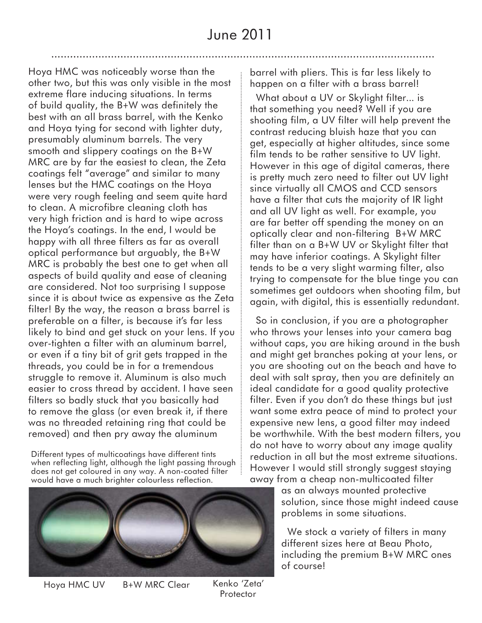Hoya HMC was noticeably worse than the other two, but this was only visible in the most extreme flare inducing situations. In terms of build quality, the B+W was definitely the best with an all brass barrel, with the Kenko and Hoya tying for second with lighter duty, presumably aluminum barrels. The very smooth and slippery coatings on the B+W MRC are by far the easiest to clean, the Zeta coatings felt "average" and similar to many lenses but the HMC coatings on the Hoya were very rough feeling and seem quite hard to clean. A microfibre cleaning cloth has very high friction and is hard to wipe across the Hoya's coatings. In the end, I would be happy with all three filters as far as overall optical performance but arguably, the B+W MRC is probably the best one to get when all aspects of build quality and ease of cleaning are considered. Not too surprising I suppose since it is about twice as expensive as the Zeta filter! By the way, the reason a brass barrel is preferable on a filter, is because it's far less likely to bind and get stuck on your lens. If you over-tighten a filter with an aluminum barrel, or even if a tiny bit of grit gets trapped in the threads, you could be in for a tremendous struggle to remove it. Aluminum is also much easier to cross thread by accident. I have seen filters so badly stuck that you basically had to remove the glass (or even break it, if there was no threaded retaining ring that could be removed) and then pry away the aluminum

Different types of multicoatings have different tints when reflecting light, although the light passing through does not get coloured in any way. A non-coated filter would have a much brighter colourless reflection.



**Protector** 

Hoya HMC UV B+W MRC Clear Kenko 'Zeta'

barrel with pliers. This is far less likely to happen on a filter with a brass barrel!

 What about a UV or Skylight filter... is that something you need? Well if you are shooting film, a UV filter will help prevent the contrast reducing bluish haze that you can get, especially at higher altitudes, since some film tends to be rather sensitive to UV light. However in this age of digital cameras, there is pretty much zero need to filter out UV light since virtually all CMOS and CCD sensors have a filter that cuts the majority of IR light and all UV light as well. For example, you are far better off spending the money on an optically clear and non-filtering B+W MRC filter than on a B+W UV or Skylight filter that may have inferior coatings. A Skylight filter tends to be a very slight warming filter, also trying to compensate for the blue tinge you can sometimes get outdoors when shooting film, but again, with digital, this is essentially redundant.

 So in conclusion, if you are a photographer who throws your lenses into your camera bag without caps, you are hiking around in the bush and might get branches poking at your lens, or you are shooting out on the beach and have to deal with salt spray, then you are definitely an ideal candidate for a good quality protective filter. Even if you don't do these things but just want some extra peace of mind to protect your expensive new lens, a good filter may indeed be worthwhile. With the best modern filters, you do not have to worry about any image quality reduction in all but the most extreme situations. However I would still strongly suggest staying away from a cheap non-multicoated filter

> as an always mounted protective solution, since those might indeed cause problems in some situations.

 We stock a variety of filters in many different sizes here at Beau Photo, including the premium B+W MRC ones of course!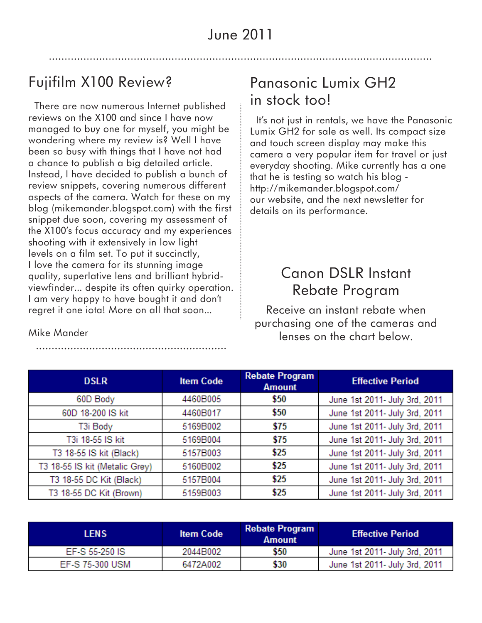# Fujifilm X100 Review?

Mike Mander

 There are now numerous Internet published reviews on the X100 and since I have now managed to buy one for myself, you might be wondering where my review is? Well I have been so busy with things that I have not had a chance to publish a big detailed article. Instead, I have decided to publish a bunch of review snippets, covering numerous different aspects of the camera. Watch for these on my blog (mikemander.blogspot.com) with the first snippet due soon, covering my assessment of the X100's focus accuracy and my experiences shooting with it extensively in low light levels on a film set. To put it succinctly, I love the camera for its stunning image quality, superlative lens and brilliant hybridviewfinder... despite its often quirky operation. I am very happy to have bought it and don't regret it one iota! More on all that soon...

## Panasonic Lumix GH2 in stock too!

 It's not just in rentals, we have the Panasonic Lumix GH2 for sale as well. Its compact size and touch screen display may make this camera a very popular item for travel or just everyday shooting. Mike currently has a one that he is testing so watch his blog http://mikemander.blogspot.com/ our website, and the next newsletter for details on its performance.

# Canon DSLR Instant Rebate Program

Receive an instant rebate when purchasing one of the cameras and lenses on the chart below.

| <b>DSLR</b>                    | <b>Item Code</b> | <b>Rebate Program</b><br><b>Amount</b> | <b>Effective Period</b>       |
|--------------------------------|------------------|----------------------------------------|-------------------------------|
| 60D Body                       | 4460B005         | \$50                                   | June 1st 2011- July 3rd, 2011 |
| 60D 18-200 IS kit              | 4460B017         | \$50                                   | June 1st 2011- July 3rd, 2011 |
| T3i Body                       | 5169B002         | \$75                                   | June 1st 2011- July 3rd, 2011 |
| T3i 18-55 IS kit               | 5169B004         | \$75                                   | June 1st 2011- July 3rd, 2011 |
| T3 18-55 IS kit (Black)        | 5157B003         | \$25                                   | June 1st 2011- July 3rd, 2011 |
| T3 18-55 IS kit (Metalic Grey) | 5160B002         | \$25                                   | June 1st 2011- July 3rd, 2011 |
| T3 18-55 DC Kit (Black)        | 5157B004         | \$25                                   | June 1st 2011- July 3rd, 2011 |
| T3 18-55 DC Kit (Brown)        | 5159B003         | \$25                                   | June 1st 2011- July 3rd, 2011 |

| <b>LENS</b>     | Item Code | <b>Rebate Program</b><br>Amount | <b>Effective Period</b>       |
|-----------------|-----------|---------------------------------|-------------------------------|
| EF-S 55-250 IS  | 2044B002  | \$50                            | June 1st 2011- July 3rd, 2011 |
| EF-S 75-300 USM | 6472A002  | \$30                            | June 1st 2011- July 3rd, 2011 |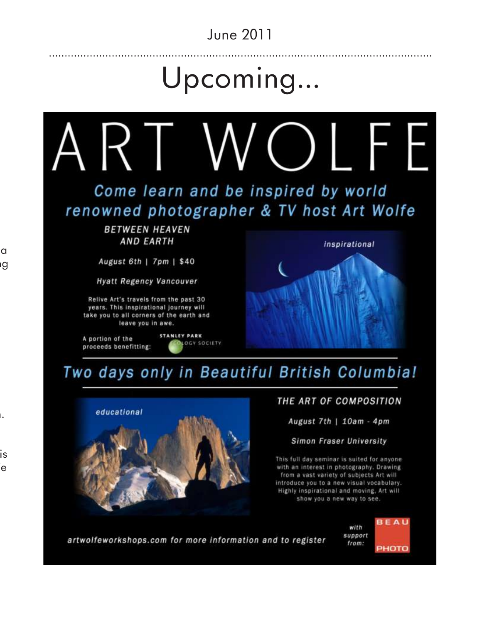# Upcoming...



a<br> ig

 $\mathbf{a}$ 

.<br>is  $\overline{e}$ 

**Simon Fraser University** 

This full day seminar is suited for anyone with an interest in photography. Drawing from a vast variety of subjects Art will introduce you to a new visual vocabulary. Highly inspirational and moving, Art will show you a new way to see.

artwolfeworkshops.com for more information and to register